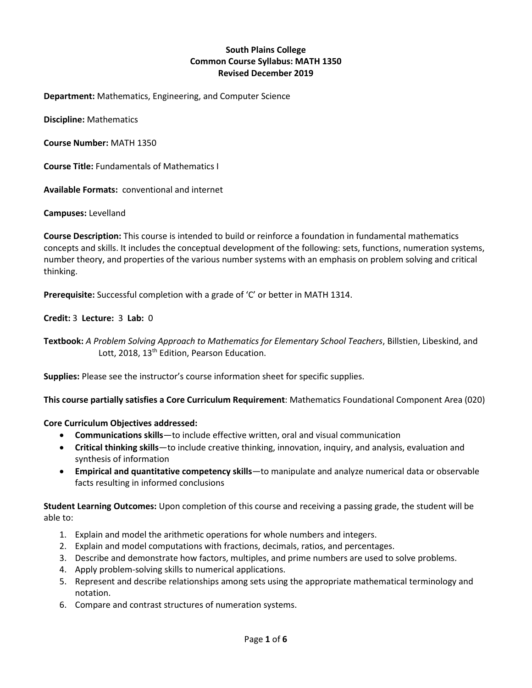# **South Plains College Common Course Syllabus: MATH 1350 Revised December 2019**

**Department:** Mathematics, Engineering, and Computer Science

**Discipline:** Mathematics

**Course Number:** MATH 1350

**Course Title:** Fundamentals of Mathematics I

**Available Formats:** conventional and internet

**Campuses:** Levelland

**Course Description:** This course is intended to build or reinforce a foundation in fundamental mathematics concepts and skills. It includes the conceptual development of the following: sets, functions, numeration systems, number theory, and properties of the various number systems with an emphasis on problem solving and critical thinking.

**Prerequisite:** Successful completion with a grade of 'C' or better in MATH 1314.

# **Credit:** 3 **Lecture:** 3 **Lab:** 0

**Textbook:** *A Problem Solving Approach to Mathematics for Elementary School Teachers*, Billstien, Libeskind, and Lott, 2018, 13<sup>th</sup> Edition, Pearson Education.

**Supplies:** Please see the instructor's course information sheet for specific supplies.

**This course partially satisfies a Core Curriculum Requirement**: Mathematics Foundational Component Area (020)

**Core Curriculum Objectives addressed:**

- **Communications skills**—to include effective written, oral and visual communication
- **Critical thinking skills**—to include creative thinking, innovation, inquiry, and analysis, evaluation and synthesis of information
- **Empirical and quantitative competency skills**—to manipulate and analyze numerical data or observable facts resulting in informed conclusions

**Student Learning Outcomes:** Upon completion of this course and receiving a passing grade, the student will be able to:

- 1. Explain and model the arithmetic operations for whole numbers and integers.
- 2. Explain and model computations with fractions, decimals, ratios, and percentages.
- 3. Describe and demonstrate how factors, multiples, and prime numbers are used to solve problems.
- 4. Apply problem-solving skills to numerical applications.
- 5. Represent and describe relationships among sets using the appropriate mathematical terminology and notation.
- 6. Compare and contrast structures of numeration systems.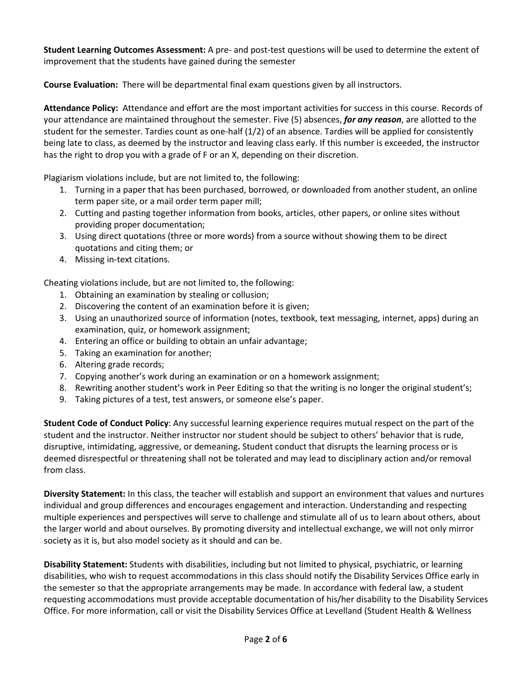**Student Learning Outcomes Assessment:** A pre- and post-test questions will be used to determine the extent of improvement that the students have gained during the semester

**Course Evaluation:** There will be departmental final exam questions given by all instructors.

**Attendance Policy:** Attendance and effort are the most important activities for success in this course. Records of your attendance are maintained throughout the semester. Five (5) absences, *for any reason*, are allotted to the student for the semester. Tardies count as one-half (1/2) of an absence. Tardies will be applied for consistently being late to class, as deemed by the instructor and leaving class early. If this number is exceeded, the instructor has the right to drop you with a grade of F or an X, depending on their discretion.

Plagiarism violations include, but are not limited to, the following:

- 1. Turning in a paper that has been purchased, borrowed, or downloaded from another student, an online term paper site, or a mail order term paper mill;
- 2. Cutting and pasting together information from books, articles, other papers, or online sites without providing proper documentation;
- 3. Using direct quotations (three or more words) from a source without showing them to be direct quotations and citing them; or
- 4. Missing in-text citations.

Cheating violations include, but are not limited to, the following:

- 1. Obtaining an examination by stealing or collusion;
- 2. Discovering the content of an examination before it is given;
- 3. Using an unauthorized source of information (notes, textbook, text messaging, internet, apps) during an examination, quiz, or homework assignment;
- 4. Entering an office or building to obtain an unfair advantage;
- 5. Taking an examination for another;
- 6. Altering grade records;
- 7. Copying another's work during an examination or on a homework assignment;
- 8. Rewriting another student's work in Peer Editing so that the writing is no longer the original student's;
- 9. Taking pictures of a test, test answers, or someone else's paper.

**Student Code of Conduct Policy**: Any successful learning experience requires mutual respect on the part of the student and the instructor. Neither instructor nor student should be subject to others' behavior that is rude, disruptive, intimidating, aggressive, or demeaning**.** Student conduct that disrupts the learning process or is deemed disrespectful or threatening shall not be tolerated and may lead to disciplinary action and/or removal from class.

**Diversity Statement:** In this class, the teacher will establish and support an environment that values and nurtures individual and group differences and encourages engagement and interaction. Understanding and respecting multiple experiences and perspectives will serve to challenge and stimulate all of us to learn about others, about the larger world and about ourselves. By promoting diversity and intellectual exchange, we will not only mirror society as it is, but also model society as it should and can be.

**Disability Statement:** Students with disabilities, including but not limited to physical, psychiatric, or learning disabilities, who wish to request accommodations in this class should notify the Disability Services Office early in the semester so that the appropriate arrangements may be made. In accordance with federal law, a student requesting accommodations must provide acceptable documentation of his/her disability to the Disability Services Office. For more information, call or visit the Disability Services Office at Levelland (Student Health & Wellness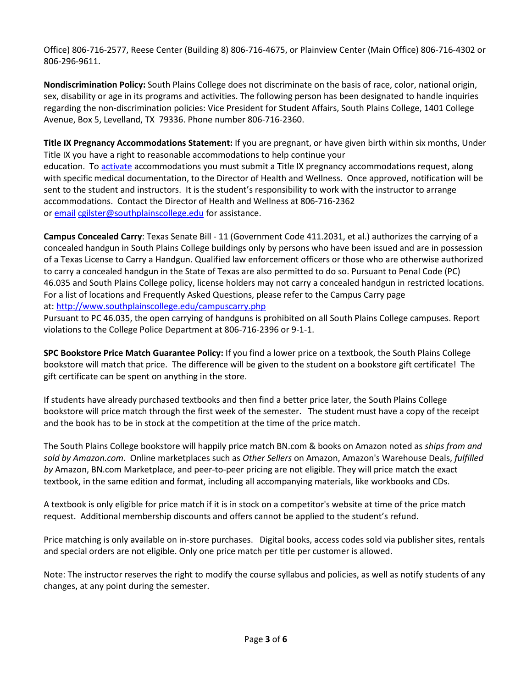Office) 806-716-2577, Reese Center (Building 8) 806-716-4675, or Plainview Center (Main Office) 806-716-4302 or 806-296-9611.

**Nondiscrimination Policy:** South Plains College does not discriminate on the basis of race, color, national origin, sex, disability or age in its programs and activities. The following person has been designated to handle inquiries regarding the non-discrimination policies: Vice President for Student Affairs, South Plains College, 1401 College Avenue, Box 5, Levelland, TX 79336. Phone number 806-716-2360.

**Title IX Pregnancy Accommodations Statement:** If you are pregnant, or have given birth within six months, Under Title IX you have a right to reasonable accommodations to help continue your education. To [activate](http://www.southplainscollege.edu/employees/manualshandbooks/facultyhandbook/sec4.php) accommodations you must submit a Title IX pregnancy accommodations request, along with specific medical documentation, to the Director of Health and Wellness. Once approved, notification will be sent to the student and instructors. It is the student's responsibility to work with the instructor to arrange accommodations. Contact the Director of Health and Wellness at 806-716-2362 or [email](http://www.southplainscollege.edu/employees/manualshandbooks/facultyhandbook/sec4.php) [cgilster@southplainscollege.edu](mailto:cgilster@southplainscollege.edu) for assistance.

**Campus Concealed Carry**: Texas Senate Bill - 11 (Government Code 411.2031, et al.) authorizes the carrying of a concealed handgun in South Plains College buildings only by persons who have been issued and are in possession of a Texas License to Carry a Handgun. Qualified law enforcement officers or those who are otherwise authorized to carry a concealed handgun in the State of Texas are also permitted to do so. Pursuant to Penal Code (PC) 46.035 and South Plains College policy, license holders may not carry a concealed handgun in restricted locations. For a list of locations and Frequently Asked Questions, please refer to the Campus Carry page at: <http://www.southplainscollege.edu/campuscarry.php>

Pursuant to PC 46.035, the open carrying of handguns is prohibited on all South Plains College campuses. Report violations to the College Police Department at 806-716-2396 or 9-1-1.

**SPC Bookstore Price Match Guarantee Policy:** If you find a lower price on a textbook, the South Plains College bookstore will match that price. The difference will be given to the student on a bookstore gift certificate! The gift certificate can be spent on anything in the store.

If students have already purchased textbooks and then find a better price later, the South Plains College bookstore will price match through the first week of the semester. The student must have a copy of the receipt and the book has to be in stock at the competition at the time of the price match.

The South Plains College bookstore will happily price match BN.com & books on Amazon noted as *ships from and sold by Amazon.com*. Online marketplaces such as *Other Sellers* on Amazon, Amazon's Warehouse Deals, *fulfilled by* Amazon, BN.com Marketplace, and peer-to-peer pricing are not eligible. They will price match the exact textbook, in the same edition and format, including all accompanying materials, like workbooks and CDs.

A textbook is only eligible for price match if it is in stock on a competitor's website at time of the price match request. Additional membership discounts and offers cannot be applied to the student's refund.

Price matching is only available on in-store purchases. Digital books, access codes sold via publisher sites, rentals and special orders are not eligible. Only one price match per title per customer is allowed.

Note: The instructor reserves the right to modify the course syllabus and policies, as well as notify students of any changes, at any point during the semester.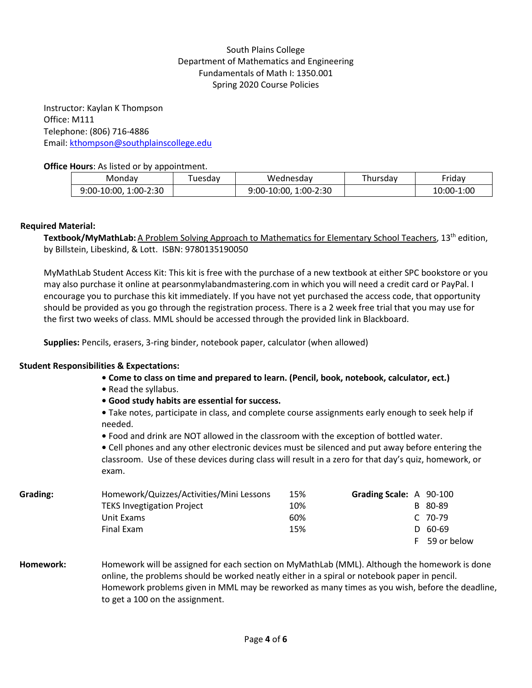# South Plains College Department of Mathematics and Engineering Fundamentals of Math I: 1350.001 Spring 2020 Course Policies

Instructor: Kaylan K Thompson Office: M111 Telephone: (806) 716-4886 Email: [kthompson@southplainscollege.edu](mailto:kthompson@southplainscollege.edu)

#### **Office Hours**: As listed or by appointment.

| Mondav                   | 'uesdav | Wednesdav                 | hursdav | - -<br>-riday |
|--------------------------|---------|---------------------------|---------|---------------|
| 1:00-2:30<br>9:00-10:00. |         | $1:00-2:30$<br>9:00-10:00 |         | 10:00-1:00    |

# **Required Material:**

Textbook/MyMathLab: A Problem Solving Approach to Mathematics for Elementary School Teachers, 13<sup>th</sup> edition, by Billstein, Libeskind, & Lott. ISBN: 9780135190050

MyMathLab Student Access Kit: This kit is free with the purchase of a new textbook at either SPC bookstore or you may also purchase it online at pearsonmylabandmastering.com in which you will need a credit card or PayPal. I encourage you to purchase this kit immediately. If you have not yet purchased the access code, that opportunity should be provided as you go through the registration process. There is a 2 week free trial that you may use for the first two weeks of class. MML should be accessed through the provided link in Blackboard.

**Supplies:** Pencils, erasers, 3-ring binder, notebook paper, calculator (when allowed)

#### **Student Responsibilities & Expectations:**

- **Come to class on time and prepared to learn. (Pencil, book, notebook, calculator, ect.)**
- Read the syllabus.
- **Good study habits are essential for success.**

**•** Take notes, participate in class, and complete course assignments early enough to seek help if needed.

**•** Food and drink are NOT allowed in the classroom with the exception of bottled water.

**•** Cell phones and any other electronic devices must be silenced and put away before entering the classroom. Use of these devices during class will result in a zero for that day's quiz, homework, or exam.

| Grading: | Homework/Quizzes/Activities/Mini Lessons | 15% | Grading Scale: A 90-100 |
|----------|------------------------------------------|-----|-------------------------|
|          | <b>TEKS Invegtigation Project</b>        | 10% | B 80-89                 |
|          | Unit Exams                               | 60% | C 70-79                 |
|          | Final Exam                               | 15% | $D$ 60-69               |
|          |                                          |     | 59 or below             |

**Homework:** Homework will be assigned for each section on MyMathLab (MML). Although the homework is done online, the problems should be worked neatly either in a spiral or notebook paper in pencil. Homework problems given in MML may be reworked as many times as you wish, before the deadline, to get a 100 on the assignment.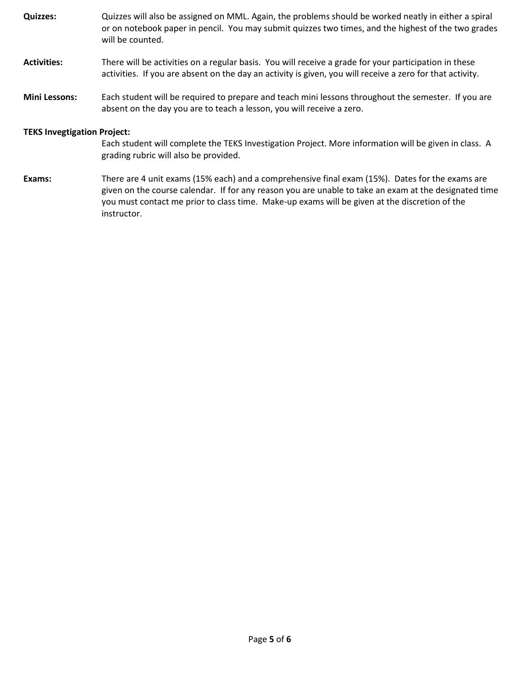**Quizzes:** Quizzes will also be assigned on MML. Again, the problems should be worked neatly in either a spiral or on notebook paper in pencil. You may submit quizzes two times, and the highest of the two grades will be counted. **Activities:** There will be activities on a regular basis. You will receive a grade for your participation in these activities. If you are absent on the day an activity is given, you will receive a zero for that activity.

**Mini Lessons:** Each student will be required to prepare and teach mini lessons throughout the semester. If you are absent on the day you are to teach a lesson, you will receive a zero.

# **TEKS Invegtigation Project:**

Each student will complete the TEKS Investigation Project. More information will be given in class. A grading rubric will also be provided.

**Exams:** There are 4 unit exams (15% each) and a comprehensive final exam (15%). Dates for the exams are given on the course calendar. If for any reason you are unable to take an exam at the designated time you must contact me prior to class time. Make-up exams will be given at the discretion of the instructor.